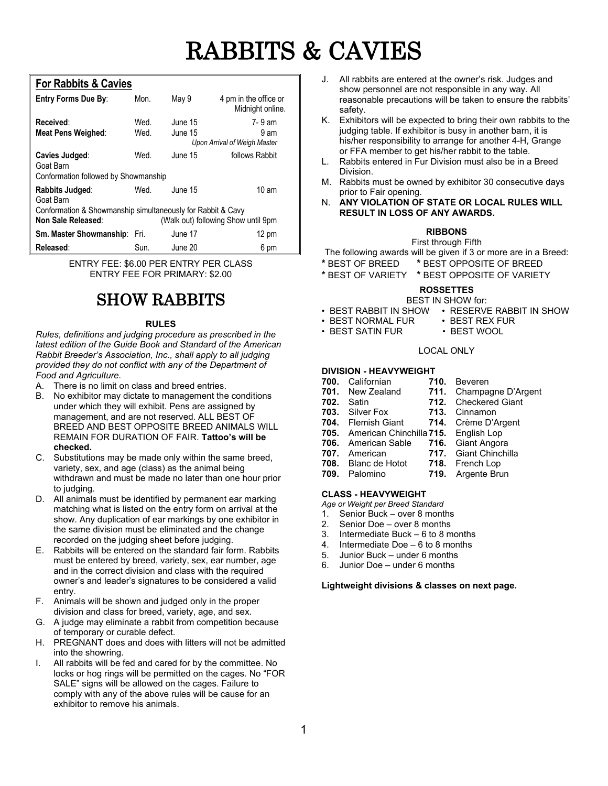# RABBITS & CAVIES

#### **For Rabbits & Cavies**

| Entry Forms Due By:                                                                                                      | Mon.         | May 9              | 4 pm in the office or<br>Midnight online.      |  |  |
|--------------------------------------------------------------------------------------------------------------------------|--------------|--------------------|------------------------------------------------|--|--|
| Received:<br><b>Meat Pens Weighed:</b>                                                                                   | Wed.<br>Wed. | June 15<br>June 15 | 7-9 am<br>9 am<br>Upon Arrival of Weigh Master |  |  |
| Cavies Judged:<br>Goat Barn<br>Conformation followed by Showmanship                                                      | Wed.         | June 15            | follows Rabbit                                 |  |  |
| Rabbits Judged:<br>Goat Barn                                                                                             | Wed.         | June 15            | $10 \text{ am}$                                |  |  |
| Conformation & Showmanship simultaneously for Rabbit & Cavy<br>(Walk out) following Show until 9pm<br>Non Sale Released: |              |                    |                                                |  |  |
| <b>Sm. Master Showmanship: Fri.</b>                                                                                      |              | June 17            | 12 pm                                          |  |  |
| Released:                                                                                                                | Sun.         | June 20            | 6 pm                                           |  |  |

ENTRY FEE: \$6.00 PER ENTRY PER CLASS ENTRY FEE FOR PRIMARY: \$2.00

## SHOW RABBITS

#### **RULES**

*Rules, definitions and judging procedure as prescribed in the latest edition of the Guide Book and Standard of the American Rabbit Breeder's Association, Inc., shall apply to all judging provided they do not conflict with any of the Department of Food and Agriculture.*

- A. There is no limit on class and breed entries.
- B. No exhibitor may dictate to management the conditions under which they will exhibit. Pens are assigned by management, and are not reserved. ALL BEST OF BREED AND BEST OPPOSITE BREED ANIMALS WILL REMAIN FOR DURATION OF FAIR. **Tattoo's will be checked.**
- C. Substitutions may be made only within the same breed, variety, sex, and age (class) as the animal being withdrawn and must be made no later than one hour prior to judging.
- D. All animals must be identified by permanent ear marking matching what is listed on the entry form on arrival at the show. Any duplication of ear markings by one exhibitor in the same division must be eliminated and the change recorded on the judging sheet before judging.
- E. Rabbits will be entered on the standard fair form. Rabbits must be entered by breed, variety, sex, ear number, age and in the correct division and class with the required owner's and leader's signatures to be considered a valid entry.
- F. Animals will be shown and judged only in the proper division and class for breed, variety, age, and sex.
- G. A judge may eliminate a rabbit from competition because of temporary or curable defect.
- H. PREGNANT does and does with litters will not be admitted into the showring.
- I. All rabbits will be fed and cared for by the committee. No locks or hog rings will be permitted on the cages. No "FOR SALE" signs will be allowed on the cages. Failure to comply with any of the above rules will be cause for an exhibitor to remove his animals.
- J. All rabbits are entered at the owner's risk. Judges and show personnel are not responsible in any way. All reasonable precautions will be taken to ensure the rabbits' safety.
- K. Exhibitors will be expected to bring their own rabbits to the judging table. If exhibitor is busy in another barn, it is his/her responsibility to arrange for another 4-H, Grange or FFA member to get his/her rabbit to the table.
- L. Rabbits entered in Fur Division must also be in a Breed Division.
- M. Rabbits must be owned by exhibitor 30 consecutive days prior to Fair opening.
- N. **ANY VIOLATION OF STATE OR LOCAL RULES WILL RESULT IN LOSS OF ANY AWARDS.**

#### **RIBBONS**

First through Fifth

The following awards will be given if 3 or more are in a Breed:

- **\*** BEST OF BREED **\*** BEST OPPOSITE OF BREED
- **\*** BEST OF VARIETY **\*** BEST OPPOSITE OF VARIETY

#### **ROSSETTES**

#### BEST IN SHOW for:

- BEST RABBIT IN SHOW RESERVE RABBIT IN SHOW
	-
- BEST NORMAL FUR BEST REX FUR  $\cdot$  BEST SATIN FUR

#### LOCAL ONLY

- **DIVISION - HEAVYWEIGHT 700.** Californian<br>**701.** New Zealand **701.** New Zealand **711.** Champagne D'Argent **702.** Satin **712.** Checkered Giant **703.** Silver Fox **713.** Cinnamon **703.** Silver Fox **713.** Cinnamon **714.** Crème D'Argent **705.** American Chinchilla **715.** English Lop **706.** American Sable **716.** Giant Angora **717.** Giant Chinchilla<br>**718.** French Lop **708.** Blanc de Hotot<br>**709.** Palomino
	- **719.** Argente Brun

#### **CLASS - HEAVYWEIGHT**

- *Age or Weight per Breed Standard*
- 1. Senior Buck over 8 months<br>2. Senior Doe over 8 months
- 2. Senior Doe over 8 months<br>3. Intermediate Buck 6 to 8 m
- 3. Intermediate Buck 6 to 8 months 4. Intermediate Doe 6 to 8 months
- Intermediate Doe  $-6$  to 8 months
- 5. Junior Buck under 6 months
- 6. Junior Doe under 6 months

#### **Lightweight divisions & classes on next page.**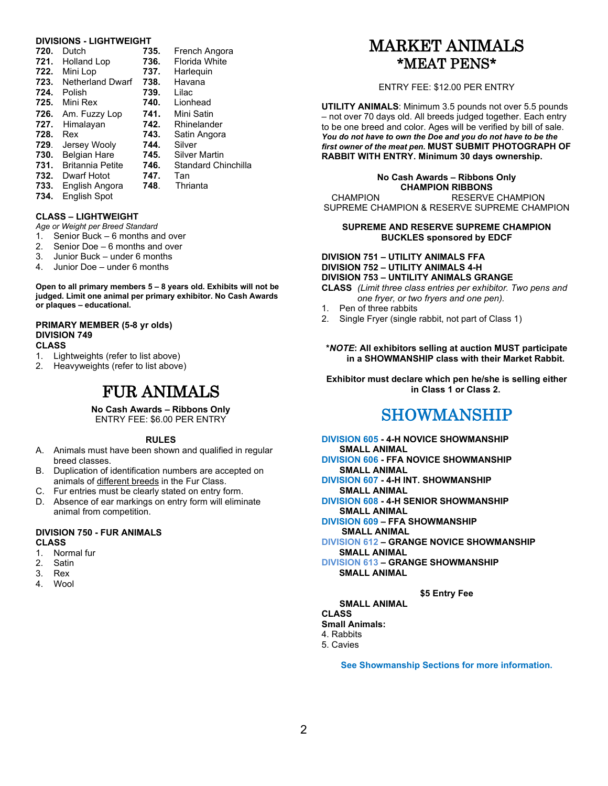#### **DIVISIONS - LIGHTWEIGHT**

| 720. | Dutch                   | 735. | French Angora              |
|------|-------------------------|------|----------------------------|
| 721. | <b>Holland Lop</b>      | 736. | Florida White              |
| 722. | Mini Lop                | 737. | Harleguin                  |
| 723. | <b>Netherland Dwarf</b> | 738. | Havana                     |
| 724. | Polish                  | 739. | Lilac                      |
| 725. | Mini Rex                | 740. | Lionhead                   |
| 726. | Am. Fuzzy Lop           | 741. | Mini Satin                 |
| 727. | Himalayan               | 742. | Rhinelander                |
| 728. | Rex                     | 743. | Satin Angora               |
| 729. | Jersey Wooly            | 744. | Silver                     |
| 730. | <b>Belgian Hare</b>     | 745. | Silver Martin              |
| 731. | <b>Britannia Petite</b> | 746. | <b>Standard Chinchilla</b> |
| 732. | Dwarf Hotot             | 747. | Tan                        |
| 733. | English Angora          | 748. | Thrianta                   |
| 734. | <b>English Spot</b>     |      |                            |

#### **CLASS – LIGHTWEIGHT**

*Age or Weight per Breed Standard*

- 1. Senior Buck 6 months and over
- 2. Senior Doe 6 months and over
- 3. Junior Buck under 6 months
- 4. Junior Doe under 6 months

**Open to all primary members 5 – 8 years old. Exhibits will not be judged. Limit one animal per primary exhibitor. No Cash Awards or plaques – educational.**

#### **PRIMARY MEMBER (5-8 yr olds) DIVISION 749**

### **CLASS**

- Lightweights (refer to list above)
- 2. Heavyweights (refer to list above)

### FUR ANIMALS

**No Cash Awards – Ribbons Only** ENTRY FEE: \$6.00 PER ENTRY

#### **RULES**

- A. Animals must have been shown and qualified in regular breed classes.
- B. Duplication of identification numbers are accepted on animals of different breeds in the Fur Class.
- C. Fur entries must be clearly stated on entry form.
- D. Absence of ear markings on entry form will eliminate animal from competition.

#### **DIVISION 750 - FUR ANIMALS CLASS**

- 1. Normal fur
- 2. Satin
- 3. Rex
- 4. Wool

### MARKET ANIMALS \*MEAT PENS\*

#### ENTRY FEE: \$12.00 PER ENTRY

**UTILITY ANIMALS**: Minimum 3.5 pounds not over 5.5 pounds – not over 70 days old. All breeds judged together. Each entry to be one breed and color. Ages will be verified by bill of sale. *You do not have to own the Doe and you do not have to be the first owner of the meat pen.* **MUST SUBMIT PHOTOGRAPH OF RABBIT WITH ENTRY. Minimum 30 days ownership.**

#### **No Cash Awards – Ribbons Only CHAMPION RIBBONS**

 CHAMPION RESERVE CHAMPION SUPREME CHAMPION & RESERVE SUPREME CHAMPION

#### **SUPREME AND RESERVE SUPREME CHAMPION BUCKLES sponsored by EDCF**

#### **DIVISION 751 – UTILITY ANIMALS FFA DIVISION 752 – UTILITY ANIMALS 4-H DIVISION 753 – UNTILITY ANIMALS GRANGE**

**CLASS** *(Limit three class entries per exhibitor. Two pens and one fryer, or two fryers and one pen).*

- Pen of three rabbits
- 2. Single Fryer (single rabbit, not part of Class 1)

#### **\****NOTE***: All exhibitors selling at auction MUST participate in a SHOWMANSHIP class with their Market Rabbit.**

**Exhibitor must declare which pen he/she is selling either in Class 1 or Class 2.**

### SHOWMANSHIP

- **DIVISION 605 - 4-H NOVICE SHOWMANSHIP SMALL ANIMAL DIVISION 606 - FFA NOVICE SHOWMANSHIP**
- **SMALL ANIMAL DIVISION 607 - 4-H INT. SHOWMANSHIP**
- **SMALL ANIMAL DIVISION 608 - 4-H SENIOR SHOWMANSHIP SMALL ANIMAL**
- **DIVISION 609 – FFA SHOWMANSHIP**
- **SMALL ANIMAL**
- **DIVISION 612 – GRANGE NOVICE SHOWMANSHIP SMALL ANIMAL**
- **DIVISION 613 – GRANGE SHOWMANSHIP SMALL ANIMAL**

#### **\$5 Entry Fee**

**SMALL ANIMAL**

**CLASS Small Animals:**

4. Rabbits

- 5. Cavies
- 

**See Showmanship Sections for more information.**